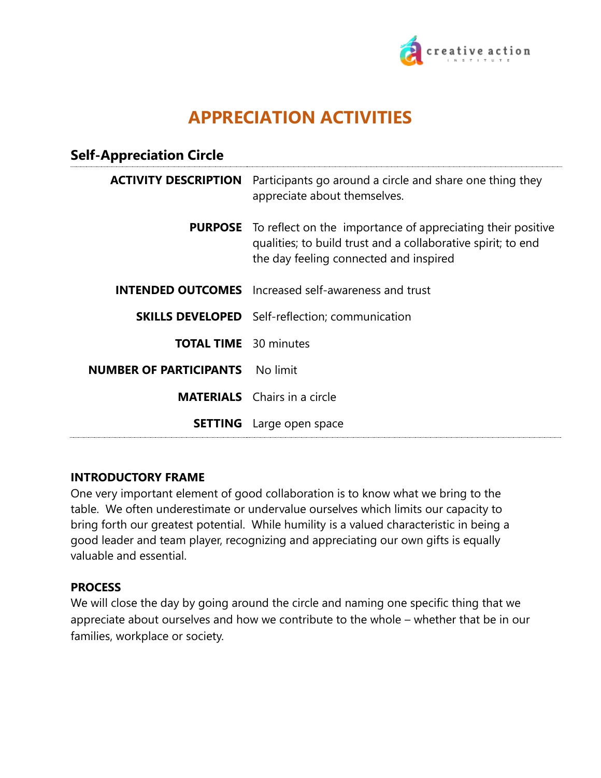

# **APPRECIATION ACTIVITIES**

## **Self-Appreciation Circle**

| <b>ACTIVITY DESCRIPTION</b>   | Participants go around a circle and share one thing they<br>appreciate about themselves.                                                                                             |
|-------------------------------|--------------------------------------------------------------------------------------------------------------------------------------------------------------------------------------|
|                               | <b>PURPOSE</b> To reflect on the importance of appreciating their positive<br>qualities; to build trust and a collaborative spirit; to end<br>the day feeling connected and inspired |
|                               | <b>INTENDED OUTCOMES</b> Increased self-awareness and trust                                                                                                                          |
|                               | <b>SKILLS DEVELOPED</b> Self-reflection; communication                                                                                                                               |
| <b>TOTAL TIME</b> 30 minutes  |                                                                                                                                                                                      |
| <b>NUMBER OF PARTICIPANTS</b> | No limit                                                                                                                                                                             |
|                               | <b>MATERIALS</b> Chairs in a circle                                                                                                                                                  |
| <b>SETTING</b>                | Large open space                                                                                                                                                                     |

#### **INTRODUCTORY FRAME**

One very important element of good collaboration is to know what we bring to the table. We often underestimate or undervalue ourselves which limits our capacity to bring forth our greatest potential. While humility is a valued characteristic in being a good leader and team player, recognizing and appreciating our own gifts is equally valuable and essential.

#### **PROCESS**

We will close the day by going around the circle and naming one specific thing that we appreciate about ourselves and how we contribute to the whole – whether that be in our families, workplace or society.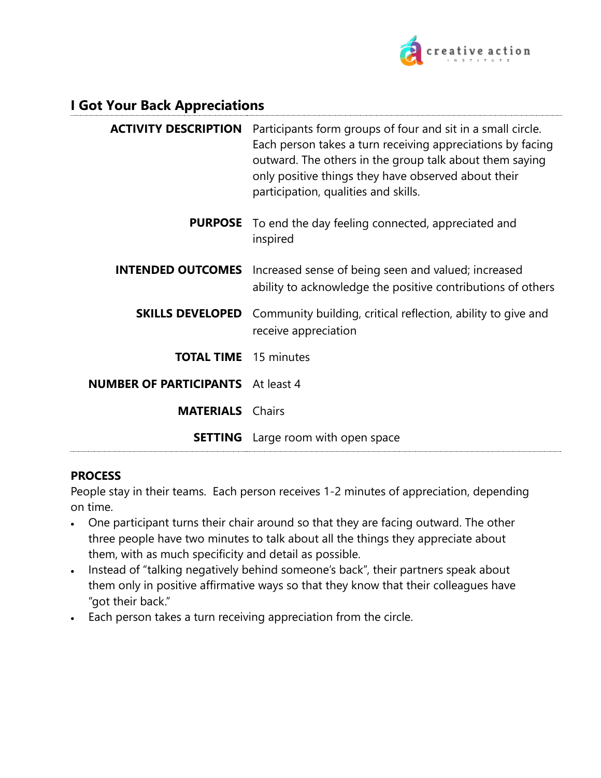

## **I Got Your Back Appreciations**

| <b>ACTIVITY DESCRIPTION</b>              | Participants form groups of four and sit in a small circle.<br>Each person takes a turn receiving appreciations by facing<br>outward. The others in the group talk about them saying<br>only positive things they have observed about their<br>participation, qualities and skills. |
|------------------------------------------|-------------------------------------------------------------------------------------------------------------------------------------------------------------------------------------------------------------------------------------------------------------------------------------|
|                                          | <b>PURPOSE</b> To end the day feeling connected, appreciated and<br>inspired                                                                                                                                                                                                        |
| <b>INTENDED OUTCOMES</b>                 | Increased sense of being seen and valued; increased<br>ability to acknowledge the positive contributions of others                                                                                                                                                                  |
| <b>SKILLS DEVELOPED</b>                  | Community building, critical reflection, ability to give and<br>receive appreciation                                                                                                                                                                                                |
| <b>TOTAL TIME</b> 15 minutes             |                                                                                                                                                                                                                                                                                     |
| <b>NUMBER OF PARTICIPANTS</b> At least 4 |                                                                                                                                                                                                                                                                                     |
| <b>MATERIALS</b>                         | Chairs                                                                                                                                                                                                                                                                              |
|                                          | <b>SETTING</b> Large room with open space                                                                                                                                                                                                                                           |

#### **PROCESS**

People stay in their teams. Each person receives 1-2 minutes of appreciation, depending on time.

- One participant turns their chair around so that they are facing outward. The other three people have two minutes to talk about all the things they appreciate about them, with as much specificity and detail as possible.
- Instead of "talking negatively behind someone's back", their partners speak about them only in positive affirmative ways so that they know that their colleagues have "got their back."
- Each person takes a turn receiving appreciation from the circle.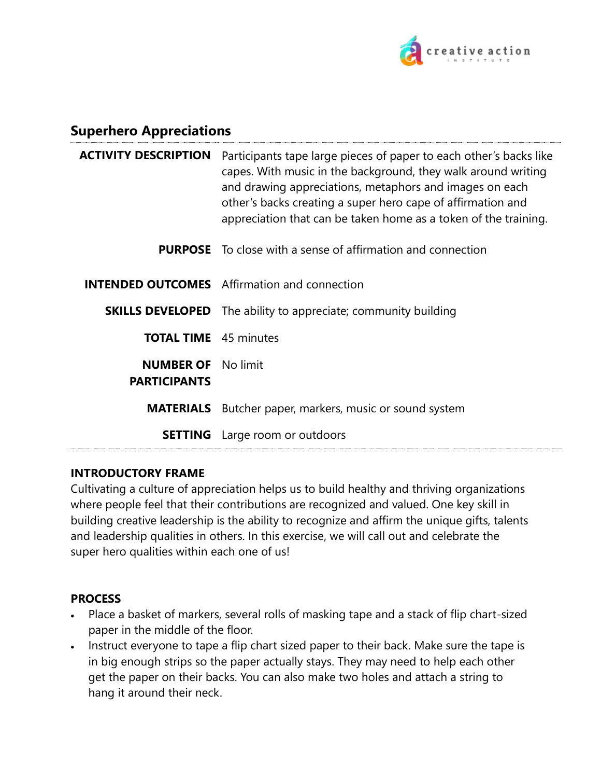

# **Superhero Appreciations**

| <b>ACTIVITY DESCRIPTION</b>                      | Participants tape large pieces of paper to each other's backs like<br>capes. With music in the background, they walk around writing<br>and drawing appreciations, metaphors and images on each<br>other's backs creating a super hero cape of affirmation and<br>appreciation that can be taken home as a token of the training. |
|--------------------------------------------------|----------------------------------------------------------------------------------------------------------------------------------------------------------------------------------------------------------------------------------------------------------------------------------------------------------------------------------|
|                                                  | <b>PURPOSE</b> To close with a sense of affirmation and connection                                                                                                                                                                                                                                                               |
|                                                  | <b>INTENDED OUTCOMES</b> Affirmation and connection                                                                                                                                                                                                                                                                              |
|                                                  | <b>SKILLS DEVELOPED</b> The ability to appreciate; community building                                                                                                                                                                                                                                                            |
| <b>TOTAL TIME</b> 45 minutes                     |                                                                                                                                                                                                                                                                                                                                  |
| <b>NUMBER OF</b> No limit<br><b>PARTICIPANTS</b> |                                                                                                                                                                                                                                                                                                                                  |
| <b>MATERIALS</b>                                 | Butcher paper, markers, music or sound system                                                                                                                                                                                                                                                                                    |
|                                                  | <b>SETTING</b> Large room or outdoors                                                                                                                                                                                                                                                                                            |

#### **INTRODUCTORY FRAME**

Cultivating a culture of appreciation helps us to build healthy and thriving organizations where people feel that their contributions are recognized and valued. One key skill in building creative leadership is the ability to recognize and affirm the unique gifts, talents and leadership qualities in others. In this exercise, we will call out and celebrate the super hero qualities within each one of us!

#### **PROCESS**

- Place a basket of markers, several rolls of masking tape and a stack of flip chart-sized paper in the middle of the floor.
- Instruct everyone to tape a flip chart sized paper to their back. Make sure the tape is in big enough strips so the paper actually stays. They may need to help each other get the paper on their backs. You can also make two holes and attach a string to hang it around their neck.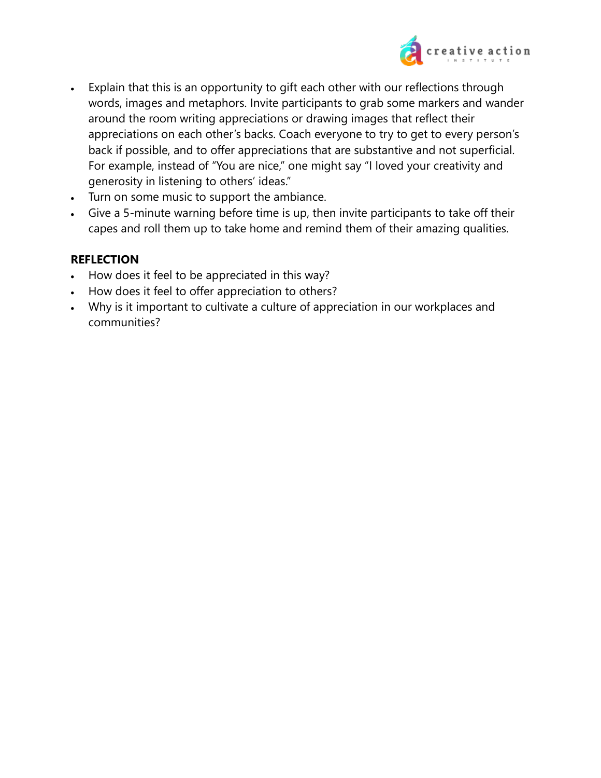

- Explain that this is an opportunity to gift each other with our reflections through words, images and metaphors. Invite participants to grab some markers and wander around the room writing appreciations or drawing images that reflect their appreciations on each other's backs. Coach everyone to try to get to every person's back if possible, and to offer appreciations that are substantive and not superficial. For example, instead of "You are nice," one might say "I loved your creativity and generosity in listening to others' ideas."
- Turn on some music to support the ambiance.
- Give a 5-minute warning before time is up, then invite participants to take off their capes and roll them up to take home and remind them of their amazing qualities.

## **REFLECTION**

- How does it feel to be appreciated in this way?
- How does it feel to offer appreciation to others?
- Why is it important to cultivate a culture of appreciation in our workplaces and communities?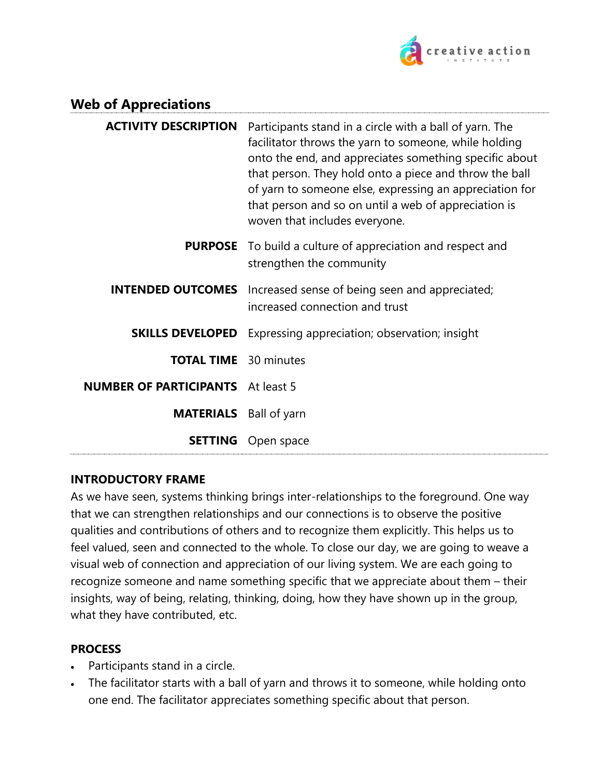

# **Web of Appreciations**

| <b>ACTIVITY DESCRIPTION</b>              | Participants stand in a circle with a ball of yarn. The<br>facilitator throws the yarn to someone, while holding<br>onto the end, and appreciates something specific about<br>that person. They hold onto a piece and throw the ball<br>of yarn to someone else, expressing an appreciation for<br>that person and so on until a web of appreciation is<br>woven that includes everyone. |
|------------------------------------------|------------------------------------------------------------------------------------------------------------------------------------------------------------------------------------------------------------------------------------------------------------------------------------------------------------------------------------------------------------------------------------------|
|                                          | <b>PURPOSE</b> To build a culture of appreciation and respect and<br>strengthen the community                                                                                                                                                                                                                                                                                            |
| <b>INTENDED OUTCOMES</b>                 | Increased sense of being seen and appreciated;<br>increased connection and trust                                                                                                                                                                                                                                                                                                         |
| <b>SKILLS DEVELOPED</b>                  | Expressing appreciation; observation; insight                                                                                                                                                                                                                                                                                                                                            |
| <b>TOTAL TIME</b> 30 minutes             |                                                                                                                                                                                                                                                                                                                                                                                          |
| <b>NUMBER OF PARTICIPANTS</b> At least 5 |                                                                                                                                                                                                                                                                                                                                                                                          |
| <b>MATERIALS</b> Ball of yarn            |                                                                                                                                                                                                                                                                                                                                                                                          |
| <b>SETTING</b>                           | Open space                                                                                                                                                                                                                                                                                                                                                                               |

#### **INTRODUCTORY FRAME**

As we have seen, systems thinking brings inter-relationships to the foreground. One way that we can strengthen relationships and our connections is to observe the positive qualities and contributions of others and to recognize them explicitly. This helps us to feel valued, seen and connected to the whole. To close our day, we are going to weave a visual web of connection and appreciation of our living system. We are each going to recognize someone and name something specific that we appreciate about them – their insights, way of being, relating, thinking, doing, how they have shown up in the group, what they have contributed, etc.

#### **PROCESS**

- Participants stand in a circle.
- The facilitator starts with a ball of yarn and throws it to someone, while holding onto one end. The facilitator appreciates something specific about that person.